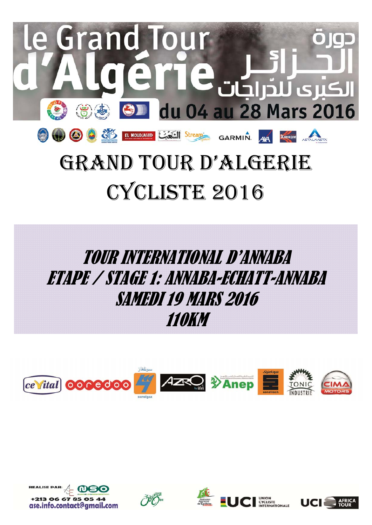

# CYCLISTE 2016

# TOUR INTERNATIONAL D'ANNABA ETAPE / STAGE 1: ANNABA-ECHATT-ANNABA SAMEDI 19 MARS 2016 110KM









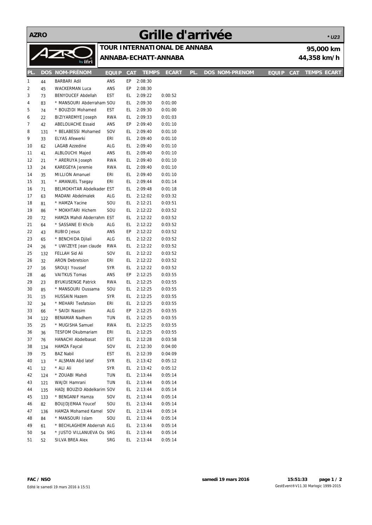**AZRO**

## **Grille d'arrivée**

|     | ALRU<br><b>QUILE A GUILLER</b><br>* U23 |                            |              |            |                      |                              |     |  |                       |              |            |             |                    |
|-----|-----------------------------------------|----------------------------|--------------|------------|----------------------|------------------------------|-----|--|-----------------------|--------------|------------|-------------|--------------------|
|     |                                         |                            |              |            |                      | TOUR INTERNATIONAL DE ANNABA |     |  |                       |              |            |             | 95,000 km          |
|     |                                         | ZR                         |              |            | ANNABA-ECHATT-ANNABA |                              |     |  |                       |              |            | 44,358 km/h |                    |
|     |                                         | by ifri                    |              |            |                      |                              |     |  |                       |              |            |             |                    |
| PL. |                                         | <b>DOS NOM-PRÉNOM</b>      | <b>EQUIP</b> | <b>CAT</b> | <b>TEMPS</b>         | <b>ECART</b>                 | PL. |  | <b>DOS NOM-PRENOM</b> | <b>EQUIP</b> | <b>CAT</b> |             | <b>TEMPS ECART</b> |
| 1   | 44                                      | BARBARI Adil               | ANS          | EP         | 2:08:30              |                              |     |  |                       |              |            |             |                    |
| 2   | 45                                      | <b>WACKERMAN Luca</b>      | ANS          | EP         | 2:08:30              |                              |     |  |                       |              |            |             |                    |
| 3   | 73                                      | <b>BENYOUCEF Abdellah</b>  | EST          | EL.        | 2:09:22              | 0:00:52                      |     |  |                       |              |            |             |                    |
| 4   | 83                                      | * MANSOURI Abderraham SOU  |              | EL.        | 2:09:30              | 0:01:00                      |     |  |                       |              |            |             |                    |
| 5   | 74                                      | * BOUZIDI Mohamed          | EST          | EL.        | 2:09:30              | 0:01:00                      |     |  |                       |              |            |             |                    |
| 6   | 22                                      | BIZIYAREMYE Joseph         | <b>RWA</b>   | EL.        | 2:09:33              | 0:01:03                      |     |  |                       |              |            |             |                    |
| 7   | 42                                      | <b>ABELOUACHE Essaid</b>   | ANS          | EP         | 2:09:40              | 0:01:10                      |     |  |                       |              |            |             |                    |
| 8   | 131                                     | * BELABESSI Mohamed        | SOV          | EL.        | 2:09:40              | 0:01:10                      |     |  |                       |              |            |             |                    |
| 9   | 33                                      | <b>ELYAS Afewerki</b>      | eri          | EL.        | 2:09:40              | 0:01:10                      |     |  |                       |              |            |             |                    |
| 10  | 62                                      | LAGAB Azzedine             | ALG          | EL.        | 2:09:40              | 0:01:10                      |     |  |                       |              |            |             |                    |
| 11  | 41                                      | ALBLOUCHI Majed            | ANS          | EL.        | 2:09:40              | 0:01:10                      |     |  |                       |              |            |             |                    |
| 12  | 21                                      | * ARERUYA Joseph           | <b>RWA</b>   | EL         | 2:09:40              | 0:01:10                      |     |  |                       |              |            |             |                    |
| 13  | 24                                      | KAREGEYA Jeremie           | <b>RWA</b>   | EL         | 2:09:40              | 0:01:10                      |     |  |                       |              |            |             |                    |
| 14  | 35                                      | MILLION Amanuel            | eri          | EL.        | 2:09:40              | 0:01:10                      |     |  |                       |              |            |             |                    |
| 15  | 31                                      | * AMANUEL Tsegay           | ERI          | EL.        | 2:09:44              | 0:01:14                      |     |  |                       |              |            |             |                    |
| 16  | 71                                      | BELMOKHTAR Abdelkader EST  |              | EL.        | 2:09:48              | 0:01:18                      |     |  |                       |              |            |             |                    |
| 17  | 63                                      | MADANI Abdelmalek          | ALG          | EL         | 2:12:02              | 0:03:32                      |     |  |                       |              |            |             |                    |
| 18  | 81                                      | * HAMZA Yacine             | SOU          | EL.        | 2:12:21              | 0:03:51                      |     |  |                       |              |            |             |                    |
| 19  | 86                                      | * MOKHTARI Hichem          | SOU          | EL         | 2:12:22              | 0:03:52                      |     |  |                       |              |            |             |                    |
| 20  | 72                                      | HAMZA Mahdi Abderrahm EST  |              | EL.        | 2:12:22              | 0:03:52                      |     |  |                       |              |            |             |                    |
| 21  | 64                                      | * SASSANE EI Khcib         | ALG          | EL.        | 2:12:22              | 0:03:52                      |     |  |                       |              |            |             |                    |
| 22  | 43                                      | <b>RUBIO Jesus</b>         | ANS          | EP         | 2:12:22              | 0:03:52                      |     |  |                       |              |            |             |                    |
| 23  | 65                                      | * BENCHIDA Djilali         | ALG          | EL.        | 2:12:22              | 0:03:52                      |     |  |                       |              |            |             |                    |
| 24  | 26                                      | * UWIZEYE Jean claude      | <b>RWA</b>   | EL         | 2:12:22              | 0:03:52                      |     |  |                       |              |            |             |                    |
| 25  | 132                                     | FELLAH Sid Ali             | SOV          | EL         | 2:12:22              | 0:03:52                      |     |  |                       |              |            |             |                    |
| 26  | 32                                      | <b>ARON Debretsion</b>     | eri          | EL         | 2:12:22              | 0:03:52                      |     |  |                       |              |            |             |                    |
| 27  | 16                                      | SROUJI Youssef             | <b>SYR</b>   | EL.        | 2:12:22              | 0:03:52                      |     |  |                       |              |            |             |                    |
| 28  | 46                                      | <b>VAITKUS Tomas</b>       | ANS          | EP         | 2:12:25              | 0:03:55                      |     |  |                       |              |            |             |                    |
| 29  | 23                                      | <b>BYUKUSENGE Patrick</b>  | <b>RWA</b>   | EL         | 2:12:25              | 0:03:55                      |     |  |                       |              |            |             |                    |
| 30  | 85                                      | * MANSOURI Oussama         | SOU          | EL.        | 2:12:25              | 0:03:55                      |     |  |                       |              |            |             |                    |
| 31  | 15                                      | <b>HUSSAIN Hazem</b>       | <b>SYR</b>   | EL         | 2:12:25              | 0:03:55                      |     |  |                       |              |            |             |                    |
| 32  | 34                                      | * MEHARI Tesfatsion        | ERI          | EL.        | 2:12:25              | 0:03:55                      |     |  |                       |              |            |             |                    |
| 33  | 66                                      | * SAIDI Nassim             | ALG          | EР         | 2:12:25              | 0:03:55                      |     |  |                       |              |            |             |                    |
| 34  | 122                                     | <b>BENAMAR Nadhem</b>      | TUN          | EL         | 2:12:25              | 0:03:55                      |     |  |                       |              |            |             |                    |
| 35  | 25                                      | * MUGISHA Samuel           | <b>RWA</b>   | EL         | 2:12:25              | 0:03:55                      |     |  |                       |              |            |             |                    |
| 36  | 36                                      | <b>TESFOM Okubmariam</b>   | ERI          | EL         | 2:12:25              | 0:03:55                      |     |  |                       |              |            |             |                    |
| 37  | 76                                      | HANACHI Abdelbasat         | EST          | EL         | 2:12:28              | 0:03:58                      |     |  |                       |              |            |             |                    |
| 38  | 134                                     | <b>HAMZA Faycal</b>        | SOV          | EL.        | 2:12:30              | 0:04:00                      |     |  |                       |              |            |             |                    |
| 39  | 75                                      | <b>BAZ Nabil</b>           | EST          | EL         | 2:12:39              | 0:04:09                      |     |  |                       |              |            |             |                    |
| 40  | 13                                      | * ALSMAN Abd latef         | <b>SYR</b>   | EL.        | 2:13:42              | 0:05:12                      |     |  |                       |              |            |             |                    |
| 41  | 12                                      | * ALI Ali                  | <b>SYR</b>   | EL         | 2:13:42              | 0:05:12                      |     |  |                       |              |            |             |                    |
| 42  | 124                                     | * ZOUABI Mahdi             | TUN          | EL         | 2:13:44              | 0:05:14                      |     |  |                       |              |            |             |                    |
| 43  | 121                                     | WAJDI Hamrani              | TUN          | EL.        | 2:13:44              | 0:05:14                      |     |  |                       |              |            |             |                    |
| 44  | 135                                     | HADJ BOUZID Abdelkarim SOV |              | EL.        | 2:13:44              | 0:05:14                      |     |  |                       |              |            |             |                    |
| 45  | 133                                     | * BENGANIF Hamza           | SOV          | EL.        | 2:13:44              | 0:05:14                      |     |  |                       |              |            |             |                    |
| 46  | 82                                      | <b>BOUJDJEMAA Youcef</b>   | SOU          | EL.        | 2:13:44              | 0:05:14                      |     |  |                       |              |            |             |                    |
| 47  | 136                                     | HAMZA Mohamed Kamel        | SOV          | EL.        | 2:13:44              | 0:05:14                      |     |  |                       |              |            |             |                    |
| 48  | 84                                      | * MANSOURI Islam           | SOU          | EL         | 2:13:44              | 0:05:14                      |     |  |                       |              |            |             |                    |
| 49  | 61                                      | * BECHLAGHEM Abderrah ALG  |              | EL.        | 2:13:44              | 0:05:14                      |     |  |                       |              |            |             |                    |
| 50  | 54                                      | * JUSTO VILLANUEVA Os SRG  |              | EL.        | 2:13:44              | 0:05:14                      |     |  |                       |              |            |             |                    |
| 51  | 52                                      | SILVA BREA Alex            | SRG          | EL.        | 2:13:44              | 0:05:14                      |     |  |                       |              |            |             |                    |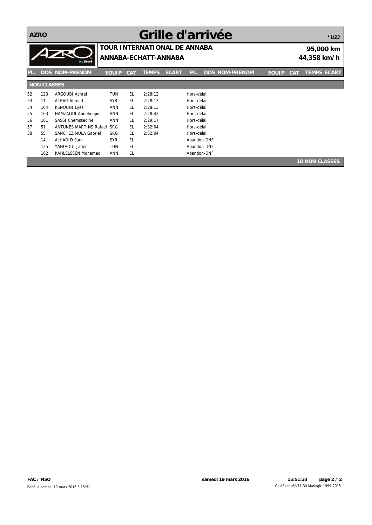**AZRO**

## **Grille d'arrivée**

*\* U23*

|     |                    | by ifri                       | <b>TOUR INTERNATIONAL DE ANNABA</b><br>ANNABA-ECHATT-ANNABA |            |              |              |             |  | 95,000 km<br>44,358 km/h |              |            |                       |
|-----|--------------------|-------------------------------|-------------------------------------------------------------|------------|--------------|--------------|-------------|--|--------------------------|--------------|------------|-----------------------|
| PL. |                    | <b>DOS NOM-PRÉNOM</b>         | <b>EQUIP</b>                                                | <b>CAT</b> | <b>TEMPS</b> | <b>ECART</b> | PL.         |  | <b>DOS NOM-PRENOM</b>    | <b>EQUIP</b> | <b>CAT</b> | <b>TEMPS ECART</b>    |
|     | <b>NON CLASSES</b> |                               |                                                             |            |              |              |             |  |                          |              |            |                       |
| 52  | 123                | <b>ARGOUBI Achref</b>         | <b>TUN</b>                                                  | EL.        | 2:28:12      |              | Hors-délai  |  |                          |              |            |                       |
| 53  | 11                 | ALHAG Ahmad                   | <b>SYR</b>                                                  | EL.        | 2:28:13      |              | Hors-délai  |  |                          |              |            |                       |
| 54  | 164                | <b>KENOUNI Lyes</b>           | <b>ANN</b>                                                  | EL.        | 2:28:13      |              | Hors-délai  |  |                          |              |            |                       |
| 55  | 163                | HAMZAOUI Abdelmajid           | <b>ANN</b>                                                  | EL.        | 2:28:43      |              | Hors-délai  |  |                          |              |            |                       |
| 56  | 161                | <b>SASSI Chemssedine</b>      | <b>ANN</b>                                                  | EL.        | 2:29:17      |              | Hors-délai  |  |                          |              |            |                       |
| 57  | 51                 | <b>ANTUNES MARTINS Rafael</b> | <b>SRG</b>                                                  | EL.        | 2:32:04      |              | Hors-délai  |  |                          |              |            |                       |
| 58  | 55                 | <b>SANCHEZ MULA Gabriel</b>   | <b>SRG</b>                                                  | EL.        | 2:32:04      |              | Hors-délai  |  |                          |              |            |                       |
|     | 14                 | <b>ALHADID Sam</b>            | <b>SYR</b>                                                  | <b>EL</b>  |              |              | Abandon-DNF |  |                          |              |            |                       |
|     | 125                | YAHIAOUI Jaber                | <b>TUN</b>                                                  | EL         |              |              | Abandon-DNF |  |                          |              |            |                       |
|     | 162                | <b>KAHLELSSEN Mohamed</b>     | <b>ANN</b>                                                  | EL.        |              |              | Abandon-DNF |  |                          |              |            |                       |
|     |                    |                               |                                                             |            |              |              |             |  |                          |              |            | <b>10 NON CLASSES</b> |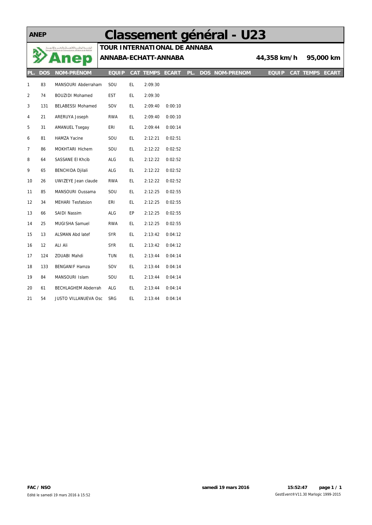#### **ANEP**

## **Classement général - U23**

| .<br>التواسسية اليوطنيسية للإنشيسيائي والتنفسير والإنسها<br>sprive Nationale de Communication, d'Édition et de Publicité |            | TOUR INTERNATIONAL DE ANNABA |                      |     |                        |         |     |                       |              |                 |           |
|--------------------------------------------------------------------------------------------------------------------------|------------|------------------------------|----------------------|-----|------------------------|---------|-----|-----------------------|--------------|-----------------|-----------|
|                                                                                                                          |            | mep                          | ANNABA-ECHATT-ANNABA |     |                        |         |     |                       | 44,358 km/h  |                 | 95,000 km |
| PL.                                                                                                                      | <b>DOS</b> | <b>NOM-PRÉNOM</b>            | <b>EQUIP</b>         |     | <b>CAT TEMPS ECART</b> |         | PL. | <b>DOS NOM-PRENOM</b> | <b>EQUIP</b> | CAT TEMPS ECART |           |
| $\mathbf{1}$                                                                                                             | 83         | MANSOURI Abderraham          | SOU                  | EL. | 2:09:30                |         |     |                       |              |                 |           |
| $\overline{2}$                                                                                                           | 74         | <b>BOUZIDI Mohamed</b>       | EST                  | EL. | 2:09:30                |         |     |                       |              |                 |           |
| 3                                                                                                                        | 131        | <b>BELABESSI Mohamed</b>     | SOV                  | EL. | 2:09:40                | 0:00:10 |     |                       |              |                 |           |
| 4                                                                                                                        | 21         | ARERUYA Joseph               | <b>RWA</b>           | EL. | 2:09:40                | 0:00:10 |     |                       |              |                 |           |
| 5                                                                                                                        | 31         | <b>AMANUEL Tsegay</b>        | ERI                  | EL. | 2:09:44                | 0:00:14 |     |                       |              |                 |           |
| 6                                                                                                                        | 81         | HAMZA Yacine                 | SOU                  | EL. | 2:12:21                | 0:02:51 |     |                       |              |                 |           |
| $\overline{7}$                                                                                                           | 86         | MOKHTARI Hichem              | SOU                  | EL. | 2:12:22                | 0:02:52 |     |                       |              |                 |           |
| 8                                                                                                                        | 64         | SASSANE El Khcib             | ALG                  | EL. | 2:12:22                | 0:02:52 |     |                       |              |                 |           |
| 9                                                                                                                        | 65         | <b>BENCHIDA Djilali</b>      | ALG                  | EL. | 2:12:22                | 0:02:52 |     |                       |              |                 |           |
| 10                                                                                                                       | 26         | UWIZEYE Jean claude          | <b>RWA</b>           | EL. | 2:12:22                | 0:02:52 |     |                       |              |                 |           |
| 11                                                                                                                       | 85         | MANSOURI Oussama             | SOU                  | EL. | 2:12:25                | 0:02:55 |     |                       |              |                 |           |
| 12                                                                                                                       | 34         | <b>MEHARI Tesfatsion</b>     | ERI                  | EL. | 2:12:25                | 0:02:55 |     |                       |              |                 |           |
| 13                                                                                                                       | 66         | SAIDI Nassim                 | ALG                  | EP  | 2:12:25                | 0:02:55 |     |                       |              |                 |           |
| 14                                                                                                                       | 25         | MUGISHA Samuel               | <b>RWA</b>           | EL. | 2:12:25                | 0:02:55 |     |                       |              |                 |           |
| 15                                                                                                                       | 13         | ALSMAN Abd latef             | SYR                  | EL. | 2:13:42                | 0:04:12 |     |                       |              |                 |           |
| 16                                                                                                                       | 12         | ALI Ali                      | <b>SYR</b>           | EL. | 2:13:42                | 0:04:12 |     |                       |              |                 |           |
| 17                                                                                                                       | 124        | ZOUABI Mahdi                 | <b>TUN</b>           | EL. | 2:13:44                | 0:04:14 |     |                       |              |                 |           |
| 18                                                                                                                       | 133        | <b>BENGANIF Hamza</b>        | SOV                  | EL. | 2:13:44                | 0:04:14 |     |                       |              |                 |           |
| 19                                                                                                                       | 84         | MANSOURI Islam               | SOU                  | EL. | 2:13:44                | 0:04:14 |     |                       |              |                 |           |
| 20                                                                                                                       | 61         | <b>BECHLAGHEM Abderrah</b>   | ALG                  | EL. | 2:13:44                | 0:04:14 |     |                       |              |                 |           |
| 21                                                                                                                       | 54         | JUSTO VILLANUEVA Osc         | SRG                  | EL  | 2:13:44                | 0:04:14 |     |                       |              |                 |           |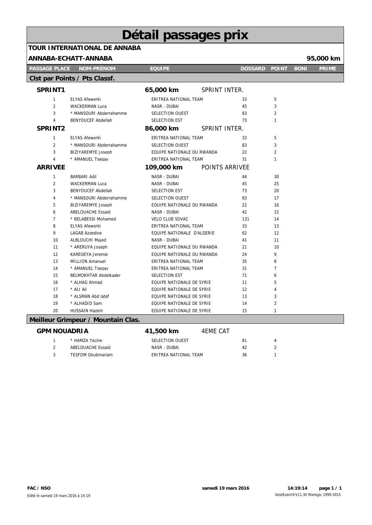## **Détail passages prix TOUR INTERNATIONAL DE ANNABA**

|                      | ANNABA-ECHATT-ANNABA               |                            |                 |                |                |             | 95,000 km    |
|----------------------|------------------------------------|----------------------------|-----------------|----------------|----------------|-------------|--------------|
| <b>PASSAGE PLACE</b> | <b>NOM-PRÉNOM</b>                  | <b>EQUIPE</b>              |                 | <b>DOSSARD</b> | <b>POINT</b>   | <b>BONI</b> | <b>PRIME</b> |
|                      | Clst par Points / Pts Classf.      |                            |                 |                |                |             |              |
| SPRINT1              |                                    | 65,000 km                  | SPRINT INTER.   |                |                |             |              |
| $\mathbf{1}$         | <b>ELYAS Afewerki</b>              | ERITREA NATIONAL TEAM      |                 | 33             | 5              |             |              |
| $\overline{2}$       | <b>WACKERMAN Luca</b>              | NASR - DUBAI               |                 | 45             | 3              |             |              |
| 3                    | * MANSOURI Abderrahamme            | SELECTION OUEST            |                 | 83             | $\overline{2}$ |             |              |
| 4                    | <b>BENYOUCEF Abdellah</b>          | SELECTION EST              |                 | 73             | 1              |             |              |
| SPRINT2              |                                    | 86,000 km                  | SPRINT INTER.   |                |                |             |              |
| $\mathbf{1}$         | <b>ELYAS Afewerki</b>              | ERITREA NATIONAL TEAM      |                 | 33             | 5              |             |              |
| $\overline{2}$       | * MANSOURI Abderrahamme            | SELECTION OUEST            |                 | 83             | 3              |             |              |
| 3                    | <b>BIZIYAREMYE Joseph</b>          | EQUIPE NATIONALE DU RWANDA |                 | 22             | $\overline{2}$ |             |              |
| 4                    | * AMANUEL Tsegay                   | ERITREA NATIONAL TEAM      |                 | 31             | 1              |             |              |
| <b>ARRIVEE</b>       |                                    | 109,000 km                 | POINTS ARRIVEE  |                |                |             |              |
| 1                    | <b>BARBARI Adil</b>                | NASR - DUBAI               |                 | 44             | 30             |             |              |
| 2                    | <b>WACKERMAN Luca</b>              | NASR - DUBAI               |                 | 45             | 25             |             |              |
| 3                    | <b>BENYOUCEF Abdellah</b>          | SELECTION EST              |                 | 73             | 20             |             |              |
| 4                    | * MANSOURI Abderrahamme            | SELECTION OUEST            |                 | 83             | 17             |             |              |
| 5                    | BIZIYAREMYE Joseph                 | EQUIPE NATIONALE DU RWANDA |                 | 22             | 16             |             |              |
| 6                    | <b>ABELOUACHE Essaid</b>           | NASR - DUBAI               |                 | 42             | 15             |             |              |
| $\overline{7}$       | * BELABESSI Mohamed                | VELO CLUB SOVAC            |                 | 131            | 14             |             |              |
| 8                    | <b>ELYAS Afewerki</b>              | ERITREA NATIONAL TEAM      |                 | 33             | 13             |             |              |
| 9                    | LAGAB Azzedine                     | EQUIPE NATIONALE D'ALGERIE |                 | 62             | 12             |             |              |
| 10                   | <b>ALBLOUCHI Majed</b>             | NASR - DUBAI               |                 | 41             | 11             |             |              |
| 11                   | * ARERUYA Joseph                   | EQUIPE NATIONALE DU RWANDA |                 | 21             | 10             |             |              |
| 12                   | <b>KAREGEYA Jeremie</b>            | EQUIPE NATIONALE DU RWANDA |                 | 24             | 9              |             |              |
| 13                   | <b>MILLION Amanuel</b>             | ERITREA NATIONAL TEAM      |                 | 35             | 8              |             |              |
| 14                   | * AMANUEL Tsegav                   | ERITREA NATIONAL TEAM      |                 | 31             | $\overline{7}$ |             |              |
| 15                   | <b>BELMOKHTAR Abdelkader</b>       | SELECTION EST              |                 | 71             | 6              |             |              |
| 16                   | * ALHAG Ahmad                      | EQUIPE NATIONALE DE SYRIE  |                 | 11             | 5              |             |              |
| 17                   | * ALI Ali                          | EQUIPE NATIONALE DE SYRIE  |                 | 12             | 4              |             |              |
| 18                   | * ALSMAN Abd latef                 | EQUIPE NATIONALE DE SYRIE  |                 | 13             | 3              |             |              |
| 19                   | * ALHADID Sam                      | EQUIPE NATIONALE DE SYRIE  |                 | 14             | $\overline{2}$ |             |              |
| 20                   | <b>HUSSAIN Hazem</b>               | EQUIPE NATIONALE DE SYRIE  |                 | 15             | 1              |             |              |
|                      | Meilleur Grimpeur / Mountain Clas. |                            |                 |                |                |             |              |
| <b>GPM NOUADRIA</b>  |                                    | 41,500 km                  | <b>4EME CAT</b> |                |                |             |              |

|  | SPM NOUADRIA             | 41,500 km             | 4FMF CAT |    |  |
|--|--------------------------|-----------------------|----------|----|--|
|  | * HAMZA Yacine           | SELECTION OUEST       |          | 81 |  |
|  | ABELOUACHE Essaid        | NASR - DUBAI          |          | 42 |  |
|  | <b>TESFOM Okubmariam</b> | ERITREA NATIONAL TEAM |          | 36 |  |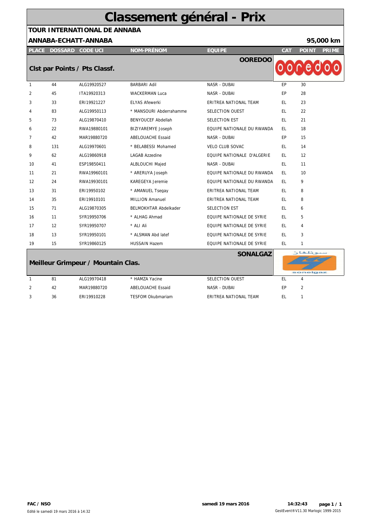## **Classement général - Prix**

## **TOUR INTERNATIONAL DE ANNABA**

#### **ANNABA-ECHATT-ANNABA 95,000 km**

**PLACE DOSSARD CODE UCI CAT POINT PRIME**

**NOM-PRÉNOM EQUIPE**

**OOREDOO**

### **Clst par Points / Pts Classf.**

|              |     | Clst par Points / Pts Classf. |                              | UUILLUU                           |           |    |
|--------------|-----|-------------------------------|------------------------------|-----------------------------------|-----------|----|
| $\mathbf{1}$ | 44  | ALG19920527                   | <b>BARBARI Adil</b>          | NASR - DUBAI                      | <b>EP</b> | 30 |
| 2            | 45  | ITA19920313                   | <b>WACKERMAN Luca</b>        | NASR - DUBAI                      | EP        | 28 |
| 3            | 33  | ERI19921227                   | <b>ELYAS Afewerki</b>        | ERITREA NATIONAL TEAM             | EL.       | 23 |
| 4            | 83  | ALG19950113                   | * MANSOURI Abderrahamme      | <b>SELECTION OUEST</b>            | EL.       | 22 |
| 5            | 73  | ALG19870410                   | <b>BENYOUCEF Abdellah</b>    | SELECTION EST                     | EL.       | 21 |
| 6            | 22  | RWA19880101                   | <b>BIZIYAREMYE Joseph</b>    | EQUIPE NATIONALE DU RWANDA        | EL.       | 18 |
| 7            | 42  | MAR19880720                   | ABELOUACHE Essaid            | NASR - DUBAI                      | EP        | 15 |
| 8            | 131 | ALG19970601                   | * BELABESSI Mohamed          | <b>VELO CLUB SOVAC</b>            | EL.       | 14 |
| 9            | 62  | ALG19860918                   | <b>LAGAB Azzedine</b>        | <b>EOUIPE NATIONALE D'ALGERIE</b> | EL.       | 12 |
| 10           | 41  | ESP19850411                   | <b>ALBLOUCHI Majed</b>       | NASR - DUBAI                      | EL.       | 11 |
| 11           | 21  | RWA19960101                   | * ARERUYA Joseph             | EOUIPE NATIONALE DU RWANDA        | EL.       | 10 |
| 12           | 24  | RWA19930101                   | <b>KAREGEYA Jeremie</b>      | EQUIPE NATIONALE DU RWANDA        | EL.       | 9  |
| 13           | 31  | ERI19950102                   | * AMANUEL Tsegay             | ERITREA NATIONAL TEAM             | EL.       | 8  |
| 14           | 35  | ERI19910101                   | <b>MILLION Amanuel</b>       | ERITREA NATIONAL TEAM             | EL.       | 8  |
| 15           | 71  | ALG19870305                   | <b>BELMOKHTAR Abdelkader</b> | SELECTION EST                     | EL.       | 6  |
| 16           | 11  | SYR19950706                   | * ALHAG Ahmad                | EQUIPE NATIONALE DE SYRIE         | EL.       | 5  |
| 17           | 12  | SYR19950707                   | * ALI Ali                    | EQUIPE NATIONALE DE SYRIE         | EL.       | 4  |
| 18           | 13  | SYR19950101                   | * ALSMAN Abd latef           | EQUIPE NATIONALE DE SYRIE         | EL.       | 3  |
| 19           | 15  | SYR19860125                   | <b>HUSSAIN Hazem</b>         | EQUIPE NATIONALE DE SYRIE         | EL.       | 1  |

|    | Meilleur Grimpeur / Mountain Clas. |                          | <b>SONALGAZ</b>       |    | سيونلغان<br>sonelgaz |
|----|------------------------------------|--------------------------|-----------------------|----|----------------------|
| 81 | ALG19970418                        | * HAMZA Yacine           | SELECTION OUEST       | ΕL | 4                    |
| 42 | MAR19880720                        | ABELOUACHE Essaid        | NASR - DUBAI          | EP |                      |
| 36 | ERI19910228                        | <b>TESFOM Okubmariam</b> | ERITREA NATIONAL TEAM | ΕI |                      |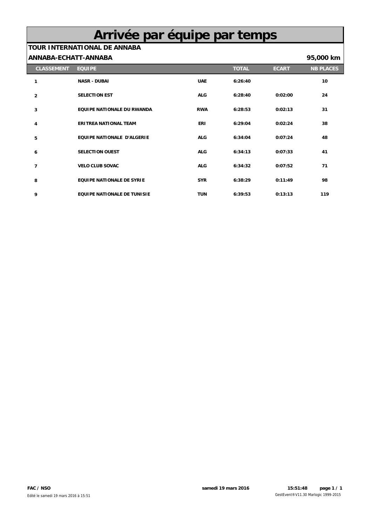## **Arrivée par équipe par temps**

### **TOUR INTERNATIONAL DE ANNABA**

#### **ANNABA-ECHATT-ANNABA 95,000 km**

L

| <b>CLASSEMENT</b> | <b>EQUIPE</b>                      |            | <b>TOTAL</b> | <b>ECART</b> | <b>NB PLACES</b> |
|-------------------|------------------------------------|------------|--------------|--------------|------------------|
| 1                 | <b>NASR - DUBAI</b>                | <b>UAE</b> | 6:26:40      |              | 10               |
| $\overline{2}$    | <b>SELECTION EST</b>               | <b>ALG</b> | 6:28:40      | 0:02:00      | 24               |
| 3                 | EQUIPE NATIONALE DU RWANDA         | <b>RWA</b> | 6:28:53      | 0:02:13      | 31               |
| 4                 | <b>ERITREA NATIONAL TEAM</b>       | <b>ERI</b> | 6:29:04      | 0:02:24      | 38               |
| 5                 | <b>EQUIPE NATIONALE D'ALGERIE</b>  | <b>ALG</b> | 6:34:04      | 0:07:24      | 48               |
| 6                 | <b>SELECTION OUEST</b>             | <b>ALG</b> | 6:34:13      | 0:07:33      | 41               |
| 7                 | <b>VELO CLUB SOVAC</b>             | <b>ALG</b> | 6:34:32      | 0:07:52      | 71               |
| 8                 | <b>EQUIPE NATIONALE DE SYRIE</b>   | <b>SYR</b> | 6:38:29      | 0:11:49      | 98               |
| 9                 | <b>EQUIPE NATIONALE DE TUNISIE</b> | <b>TUN</b> | 6:39:53      | 0:13:13      | 119              |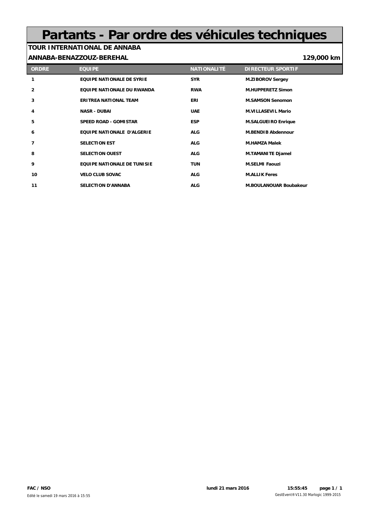## **Partants - Par ordre des véhicules techniques**

#### **TOUR INTERNATIONAL DE ANNABA ANNABA-BENAZZOUZ-BEREHAL 129,000 km**

**ORDRE EQUIPE NATIONALITÉ DIRECTEUR SPORTIF EQUIPE NATIONALE DE SYRIE SYR M.ZIBOROV Sergey EQUIPE NATIONALE DU RWANDA RWA M.HUPPERETZ Simon ERITREA NATIONAL TEAM ERI M.SAMSON Senomon NASR - DUBAI UAE M.VILLASEVIL Mario SPEED ROAD - GOMISTAR ESP M.SALGUEIRO Enrique EQUIPE NATIONALE D'ALGERIE ALG M.BENDIB Abdennour SELECTION EST ALG M.HAMZA Malek SELECTION OUEST ALG M.TAMANITE Djamel EQUIPE NATIONALE DE TUNISIE TUN M.SELMI Faouzi VELO CLUB SOVAC ALG M.ALLIK Feres SELECTION D'ANNABA ALG M.BOULANOUAR Boubakeur**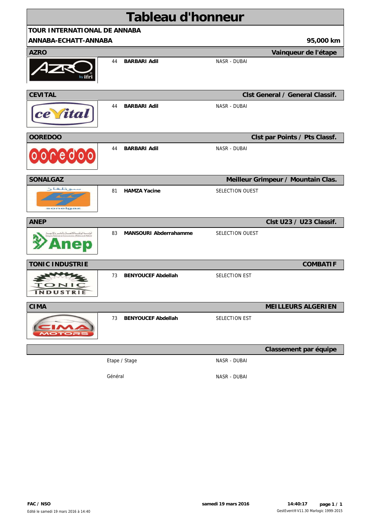|                                     |         | <b>Tableau d'honneur</b>     |                 |                                        |
|-------------------------------------|---------|------------------------------|-----------------|----------------------------------------|
| <b>TOUR INTERNATIONAL DE ANNABA</b> |         |                              |                 |                                        |
| ANNABA-ECHATT-ANNABA                |         |                              |                 | 95,000 km                              |
| <b>AZRO</b>                         |         |                              |                 | Vainqueur de l'étape                   |
|                                     | 44      | <b>BARBARI Adil</b>          | NASR - DUBAI    |                                        |
| <b>CEVITAL</b>                      |         |                              |                 | <b>Clst General / General Classif.</b> |
| ce (ital                            | 44      | <b>BARBARI Adil</b>          | NASR - DUBAI    |                                        |
| <b>OOREDOO</b>                      |         |                              |                 | Clst par Points / Pts Classf.          |
| 000000                              | 44      | <b>BARBARI Adil</b>          | NASR - DUBAI    |                                        |
| <b>SONALGAZ</b>                     |         |                              |                 | Meilleur Grimpeur / Mountain Clas.     |
| سيونلغان<br>sonelgaz                | 81      | <b>HAMZA Yacine</b>          | SELECTION OUEST |                                        |
| <b>ANEP</b>                         |         |                              |                 | Clst U23 / U23 Classif.                |
| كالاستمسال والمنشر                  | 83      | <b>MANSOURI Abderrahamme</b> | SELECTION OUEST |                                        |
| <b>TONIC INDUSTRIE</b>              |         |                              |                 | <b>COMBATIF</b>                        |
| <b>TONIC</b><br><b>INDUSTRIE</b>    | 73      | <b>BENYOUCEF Abdellah</b>    | SELECTION EST   |                                        |
| <b>CIMA</b>                         |         |                              |                 | <b>MEILLEURS ALGERIEN</b>              |
|                                     | 73      | <b>BENYOUCEF Abdellah</b>    | SELECTION EST   |                                        |
|                                     |         |                              |                 | Classement par équipe                  |
|                                     |         | Etape / Stage                | NASR - DUBAI    |                                        |
|                                     | Général |                              | NASR - DUBAI    |                                        |